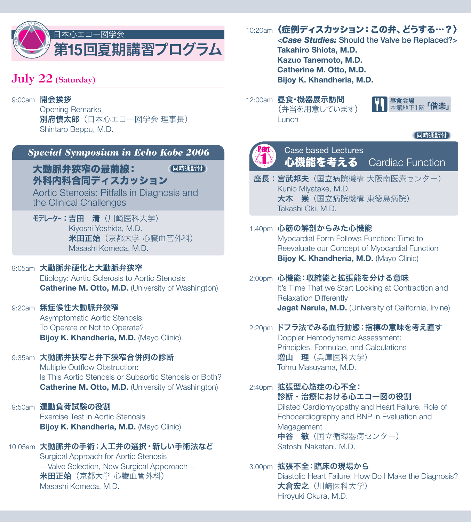

# **July 22 (Saturday)**

### 9:00am **開会挨拶**

Opening Remarks 別府慎太郎(日本心エコー図学会 理事長) Shintaro Beppu, M.D.

## *Special Symposium in Echo Kobe 2006*

**同時通訳付**  大動脈弁狭窄の最前線: 外科内科合同ディスカッション

Aortic Stenosis: Pitfalls in Diagnosis and the Clinical Challenges

モデレーター:吉田 清(川崎医科大学) Kiyoshi Yoshida, M.D. 米田正始(京都大学 心臓血管外科) Masashi Komeda, M.D.

### 9:05am 大動脈弁硬化と大動脈弁狭窄

Etiology: Aortic Sclerosis to Aortic Stenosis **Catherine M. Otto, M.D.** (University of Washington)

### 9:20am 無症候性大動脈弁狭窄

Asymptomatic Aortic Stenosis: To Operate or Not to Operate? **Bijoy K. Khandheria, M.D.** (Mayo Clinic)

### 9:35am 大動脈弁狭窄と弁下狭窄合併例の診断

Multiple Outflow Obstruction: Is This Aortic Stenosis or Subaortic Stenosis or Both? **Catherine M. Otto, M.D.** (University of Washington)

# 9:50am 運動負荷試験の役割

Exercise Test in Aortic Stenosis **Bijoy K. Khandheria, M.D.** (Mayo Clinic)

## 10:05am 大動脈弁の手術:人工弁の選択・新しい手術法など

Surgical Approach for Aortic Stenosis —Valve Selection, New Surgical Apporoach— 米田正始(京都大学 心臓血管外科) Masashi Komeda, M.D.

## 10:20am〈症例ディスカッション:この弁、どうする…?〉

**<***Case Studies:* **Should the Valve be Replaced?> Takahiro Shiota, M.D. Kazuo Tanemoto, M.D. Catherine M. Otto, M.D. Bijoy K. Khandheria, M.D.**

12:00am 昼食·機器展示訪問 (弁当を用意しています) Lunch







Case based Lectures 心機能を考える Cardiac Function

座長:宮武邦夫(国立病院機構 大阪南医療センター) Kunio Miyatake, M.D. 大木 崇 (国立病院機構 東徳島病院) Takashi Oki, M.D.

### 1:40pm 心筋の解剖からみた心機能 Myocardial Form Follows Function: Time to Reevaluate our Concept of Myocardial Function **Bijoy K. Khandheria, M.D.** (Mayo Clinic)

2:00pm 心機能:収縮能と拡張能を分ける意味 It's Time That we Start Looking at Contraction and Relaxation Differently **Jagat Narula, M.D.** (University of California, Irvine)

### 2:20pm ドプラ法でみる血行動態:指標の意味を考え直す Doppler Hemodynamic Assessment: Principles, Formulae, and Calculations 增山 理 (兵庫医科大学) Tohru Masuyama, M.D.

### 2:40pm 拡張型心筋症の心不全: 診断・治療における心エコー図の役割 Dilated Cardiomyopathy and Heart Failure. Role of Echocardiography and BNP in Evaluation and **Magagement** 中谷 敏(国立循環器病センター) Satoshi Nakatani, M.D.

### 3:00pm 拡張不全:臨床の現場から

Diastolic Heart Failure: How Do I Make the Diagnosis? 大倉宏之(川崎医科大学) Hiroyuki Okura, M.D.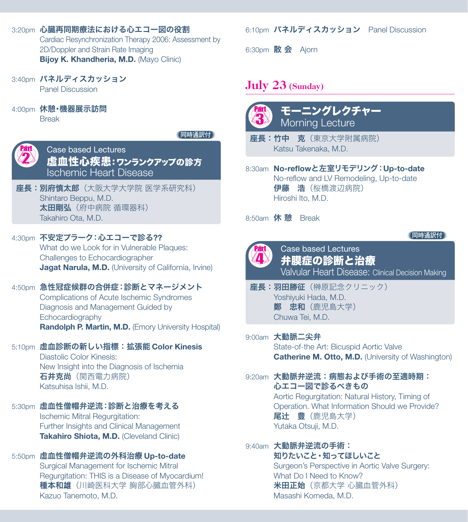3:20pm 心臓再同期療法における心エコー図の役割 Cardiac Resynchronization Therapy 2006: Assessment by

2D/Doppler and Strain Rate Imaging **Bijoy K. Khandheria, M.D.** (Mayo Clinic)

- 3:40pm パネルディスカッション Panel Discussion
- 4:00pm 休憩·機器展示訪問

Break

**同時通訳付** 



Case based Lectures 虚血性心疾患:ワンランクアップの診方 Ischemic Heart Disease

座長:別府慎太郎(大阪大学大学院 医学系研究科) Shintaro Beppu, M.D. 太田剛弘(府中病院 循環器科) Takahiro Ota, M.D.

4:30pm 不安定プラーク:心エコーで診る**??** What do we Look for in Vulnerable Plaques: Challenges to Echocardiographer **Jagat Narula, M.D.** (University of California, Irvine)

4:50pm 急性冠症候群の合併症:診断とマネージメント Complications of Acute Ischemic Syndromes Diagnosis and Management Guided by Echocardiography **Randolph P. Martin, M.D.** (Emory University Hospital)

## 5:10pm 虚血診断の新しい指標:拡張能 **Color Kinesis**

Diastolic Color Kinesis: New Insight into the Diagnosis of Ischemia 石井克尚(関西電力病院) Katsuhisa Ishii, M.D.

## 5:30pm 虚血性僧帽弁逆流:診断と治療を考える

Ischemic Mitral Regurgitation: Further Insights and Clinical Management **Takahiro Shiota, M.D.** (Cleveland Clinic)

# 5:50pm 虚血性僧帽弁逆流の外科治療 **Up-to-date**

Surgical Management for Ischemic Mitral Regurgitation: THIS is a Disease of Myocardium! 種本和雄(川崎医科大学 胸部心臓血管外科) Kazuo Tanemoto, M.D.

## 6:10pm パネルディスカッション Panel Discussion

6:30pm 散 会 Ajorn

# **July 23 (Sunday)**

P. ri 3 モーニングレクチャー Morning Lecture

座長:竹中 克(東京大学附属病院) Katsu Takenaka, M.D.

## 8:30am **No-reflow**と左室リモデリング:**Up-to-date**

No-reflow and LV Remodeling, Up-to-date 伊藤 浩(桜橋渡辺病院) Hiroshi Ito, M.D.

8:50am 休憩 Break

## **同時通訳付**



Case based Lectures 弁膜症の診断と治療 Valvular Heart Disease: Clinical Decision Making

座長:羽田勝征(榊原記念クリニック) Yoshiyuki Hada, M.D. **鄭 忠和** (鹿児島大学) Chuwa Tei, M.D.

## 9:00am 大動脈二尖弁

State-of-the Art: Bicuspid Aortic Valve **Catherine M. Otto, M.D.** (University of Washington)

## 9:20am 大動脈弁逆流:病態および手術の至適時期: 心エコー図で診るべきもの

Aortic Regurgitation: Natural History, Timing of Operation. What Information Should we Provide? 尾辻 豊(鹿児島大学) Yutaka Otsuji, M.D.

### 9:40am 大動脈弁逆流の手術: 知りたいこと・知ってほしいこと Surgeon's Perspective in Aortic Valve Surgery: What Do I Need to Know? 米田正始(京都大学 心臓血管外科) Masashi Komeda, M.D.